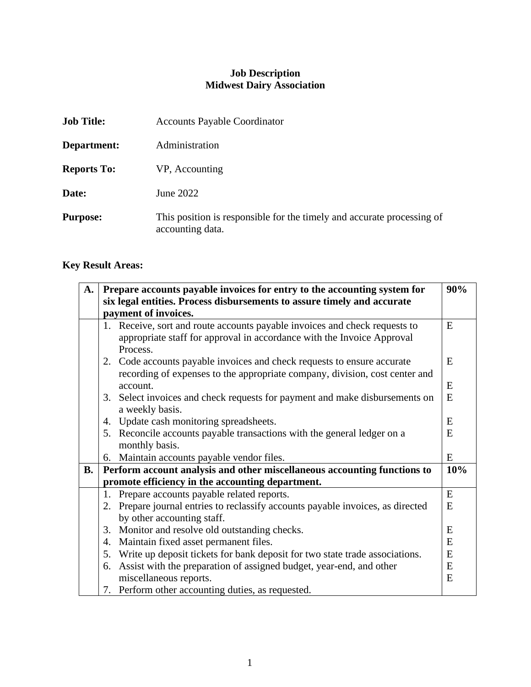## **Job Description Midwest Dairy Association**

| <b>Job Title:</b>  | <b>Accounts Payable Coordinator</b>                                                        |
|--------------------|--------------------------------------------------------------------------------------------|
| Department:        | Administration                                                                             |
| <b>Reports To:</b> | VP, Accounting                                                                             |
| Date:              | June 2022                                                                                  |
| <b>Purpose:</b>    | This position is responsible for the timely and accurate processing of<br>accounting data. |

# **Key Result Areas:**

| A.        | 90%<br>Prepare accounts payable invoices for entry to the accounting system for |                                                                                                                                                                  |     |
|-----------|---------------------------------------------------------------------------------|------------------------------------------------------------------------------------------------------------------------------------------------------------------|-----|
|           | six legal entities. Process disbursements to assure timely and accurate         |                                                                                                                                                                  |     |
|           | payment of invoices.                                                            |                                                                                                                                                                  |     |
|           |                                                                                 | 1. Receive, sort and route accounts payable invoices and check requests to<br>appropriate staff for approval in accordance with the Invoice Approval<br>Process. | E   |
|           |                                                                                 | 2. Code accounts payable invoices and check requests to ensure accurate<br>recording of expenses to the appropriate company, division, cost center and           | E   |
|           |                                                                                 | account.                                                                                                                                                         | E   |
|           |                                                                                 | 3. Select invoices and check requests for payment and make disbursements on<br>a weekly basis.                                                                   | E   |
|           |                                                                                 | 4. Update cash monitoring spreadsheets.                                                                                                                          | E   |
|           |                                                                                 | 5. Reconcile accounts payable transactions with the general ledger on a                                                                                          | E   |
|           |                                                                                 | monthly basis.                                                                                                                                                   |     |
|           |                                                                                 | 6. Maintain accounts payable vendor files.                                                                                                                       | E   |
| <b>B.</b> | Perform account analysis and other miscellaneous accounting functions to        |                                                                                                                                                                  | 10% |
|           |                                                                                 | promote efficiency in the accounting department.                                                                                                                 |     |
|           |                                                                                 | 1. Prepare accounts payable related reports.                                                                                                                     | E   |
|           |                                                                                 | 2. Prepare journal entries to reclassify accounts payable invoices, as directed                                                                                  | E   |
|           |                                                                                 | by other accounting staff.                                                                                                                                       |     |
|           |                                                                                 | 3. Monitor and resolve old outstanding checks.                                                                                                                   | E   |
|           | 4.                                                                              | Maintain fixed asset permanent files.                                                                                                                            | E   |
|           | 5.                                                                              | Write up deposit tickets for bank deposit for two state trade associations.                                                                                      | E   |
|           |                                                                                 | 6. Assist with the preparation of assigned budget, year-end, and other                                                                                           | E   |
|           |                                                                                 | miscellaneous reports.                                                                                                                                           | E   |
|           |                                                                                 | 7. Perform other accounting duties, as requested.                                                                                                                |     |